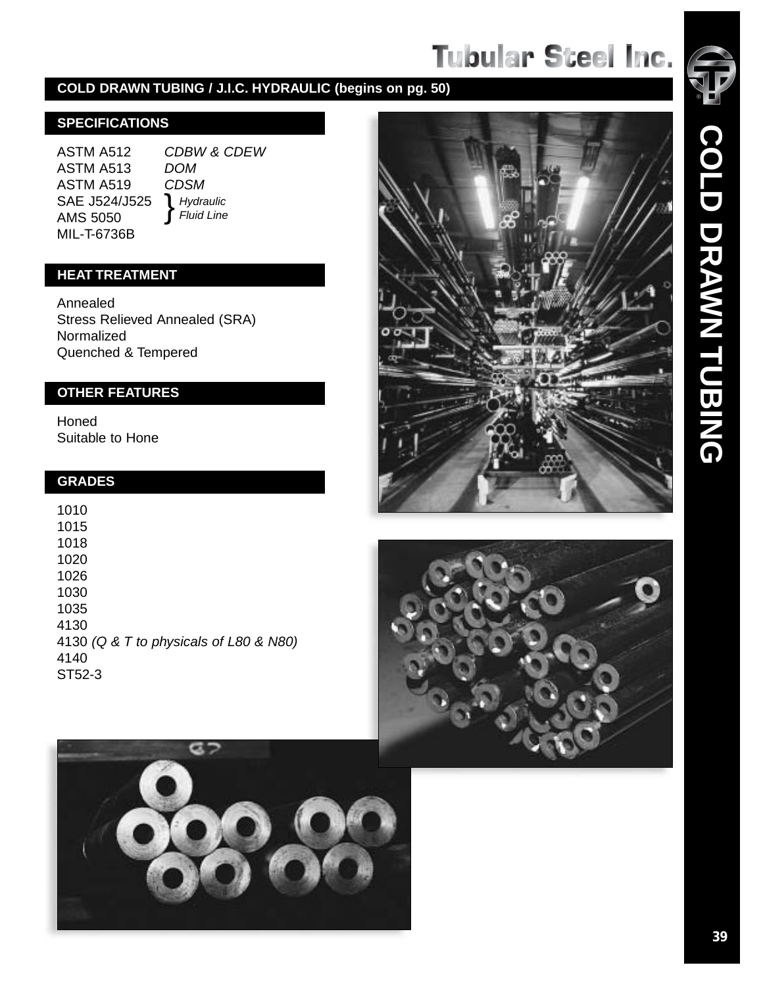### **COLD DRAWN TUBING / J.I.C. HYDRAULIC (begins on pg. 50)**

### **SPECIFICATIONS**

ASTM A512 ASTM A513 ASTM A519 SAE J524/J525 AMS 5050 MIL-T-6736B

CDBW & CDEW DOM CDSM<br>
} Hydraulic  $\int$  Fluid Line

### **HEAT TREATMENT**

Annealed Stress Relieved Annealed (SRA) Normalized Quenched & Tempered

### **GRADES**

| <b>OTHER FEATURES</b>                  |
|----------------------------------------|
| Honed<br>Suitable to Hone              |
| <b>GRADES</b>                          |
| 1010                                   |
| 1015                                   |
| 1018                                   |
| 1020                                   |
| 1026                                   |
| 1030                                   |
| 1035                                   |
| 4130                                   |
| 4130 (Q & T to physicals of L80 & N80) |
| 4140                                   |
| ST52-3                                 |







ロフ

**COLD DRAWN TUBING**

COLD DRAWN TUBING

®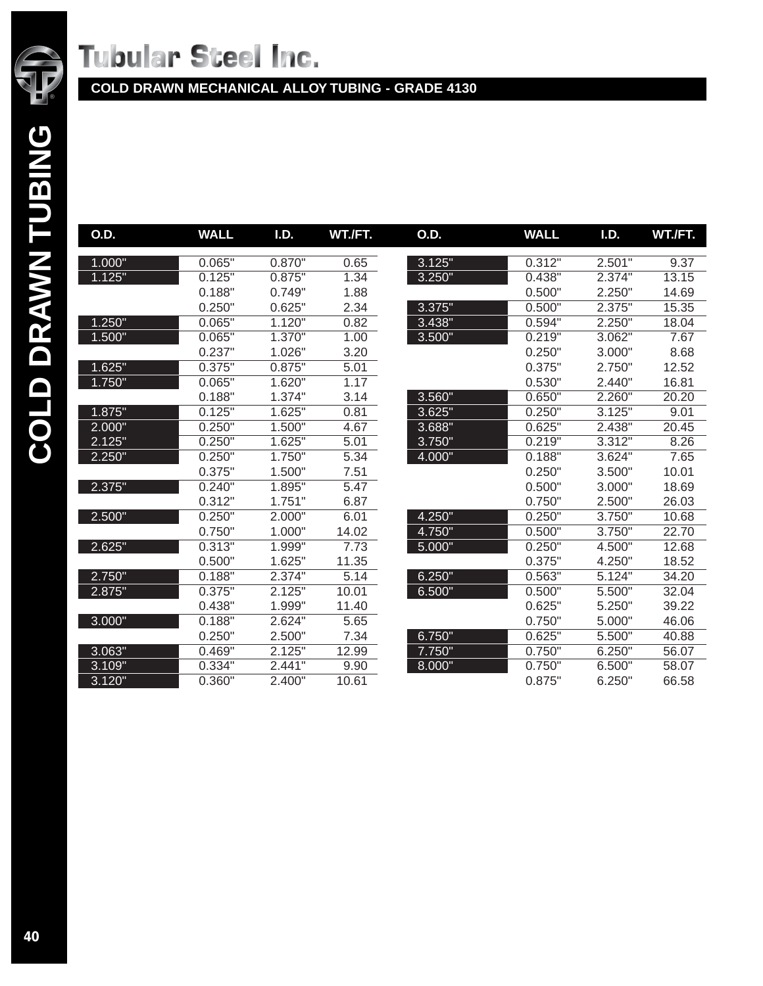

**COLD DRAWN MECHANICAL ALLOY TUBING - GRADE 4130**

| Ξ           |        |    |
|-------------|--------|----|
|             | O.D.   | W. |
| <b>NANA</b> | 1.000" |    |
|             | 1.125" |    |
|             |        |    |
|             |        |    |
|             | 1.250" |    |
|             | 1.500" |    |
|             |        |    |
|             | 1.625" |    |
|             | 1.750" |    |
|             |        |    |
|             | 1.875" |    |
|             | 2.000" |    |
|             | 2.125" |    |
|             | 2.250" |    |
|             |        |    |
|             | 2.375" |    |

2.500"

2.625"

2.750" 2.875"

3.000"

3.063" 3.109"  $3.120"$ 

| O.D.   | <b>WALL</b> | I.D.   | WT./FT. | O.D.   | <b>WALL</b>          | I.D.   | WT./FT. |
|--------|-------------|--------|---------|--------|----------------------|--------|---------|
| 1.000" | 0.065"      | 0.870" | 0.65    | 3.125" | 0.312"               | 2.501  | 9.37    |
| 1.125" | 0.125"      | 0.875" | 1.34    | 3.250" | 0.438"               | 2.374" | 13.15   |
|        | 0.188"      | 0.749" | 1.88    |        | 0.500"               | 2.250" | 14.69   |
|        | 0.250"      | 0.625" | 2.34    | 3.375" | 0.500"               | 2.375" | 15.35   |
| 1.250" | 0.065"      | 1.120" | 0.82    | 3.438" | 0.594"               | 2.250" | 18.04   |
| 1.500" | 0.065"      | 1.370" | 1.00    | 3.500" | 0.219"               | 3.062" | 7.67    |
|        | 0.237"      | 1.026" | 3.20    |        | 0.250"               | 3.000" | 8.68    |
| 1.625" | 0.375"      | 0.875" | 5.01    |        | 0.375"               | 2.750" | 12.52   |
| 1.750" | 0.065"      | 1.620" | 1.17    |        | 0.530"               | 2.440" | 16.81   |
|        | 0.188"      | 1.374" | 3.14    | 3.560" | 0.650"               | 2.260" | 20.20   |
| 1.875" | 0.125"      | 1.625" | 0.81    | 3.625" | 0.250"               | 3.125" | 9.01    |
| 2.000" | 0.250"      | 1.500" | 4.67    | 3.688" | 0.625"               | 2.438" | 20.45   |
| 2.125" | 0.250"      | 1.625" | 5.01    | 3.750" | 0.219"               | 3.312" | 8.26    |
| 2.250" | 0.250"      | 1.750" | 5.34    | 4.000" | $0.188$ <sup>"</sup> | 3.624" | 7.65    |
|        | 0.375"      | 1.500" | 7.51    |        | 0.250"               | 3.500" | 10.01   |
| 2.375" | 0.240"      | 1.895" | 5.47    |        | 0.500"               | 3.000" | 18.69   |
|        | 0.312"      | 1.751" | 6.87    |        | 0.750"               | 2.500" | 26.03   |
| 2.500" | 0.250"      | 2.000" | 6.01    | 4.250" | 0.250"               | 3.750" | 10.68   |
|        | 0.750"      | 1.000" | 14.02   | 4.750" | 0.500"               | 3.750" | 22.70   |
| 2.625" | 0.313"      | 1.999" | 7.73    | 5.000" | 0.250"               | 4.500" | 12.68   |
|        | 0.500"      | 1.625" | 11.35   |        | 0.375"               | 4.250" | 18.52   |
| 2.750" | 0.188"      | 2.374" | 5.14    | 6.250" | 0.563"               | 5.124" | 34.20   |
| 2.875" | 0.375"      | 2.125" | 10.01   | 6.500" | 0.500"               | 5.500" | 32.04   |
|        | 0.438"      | 1.999" | 11.40   |        | 0.625"               | 5.250" | 39.22   |
| 3.000" | 0.188"      | 2.624" | 5.65    |        | 0.750"               | 5.000" | 46.06   |
|        | 0.250"      | 2.500" | 7.34    | 6.750" | 0.625"               | 5.500" | 40.88   |
| 3.063" | 0.469"      | 2.125" | 12.99   | 7.750" | 0.750"               | 6.250" | 56.07   |
| 3.109" | 0.334"      | 2.441" | 9.90    | 8.000" | 0.750"               | 6.500" | 58.07   |
| 3.120" | 0.360"      | 2.400" | 10.61   |        | 0.875"               | 6.250" | 66.58   |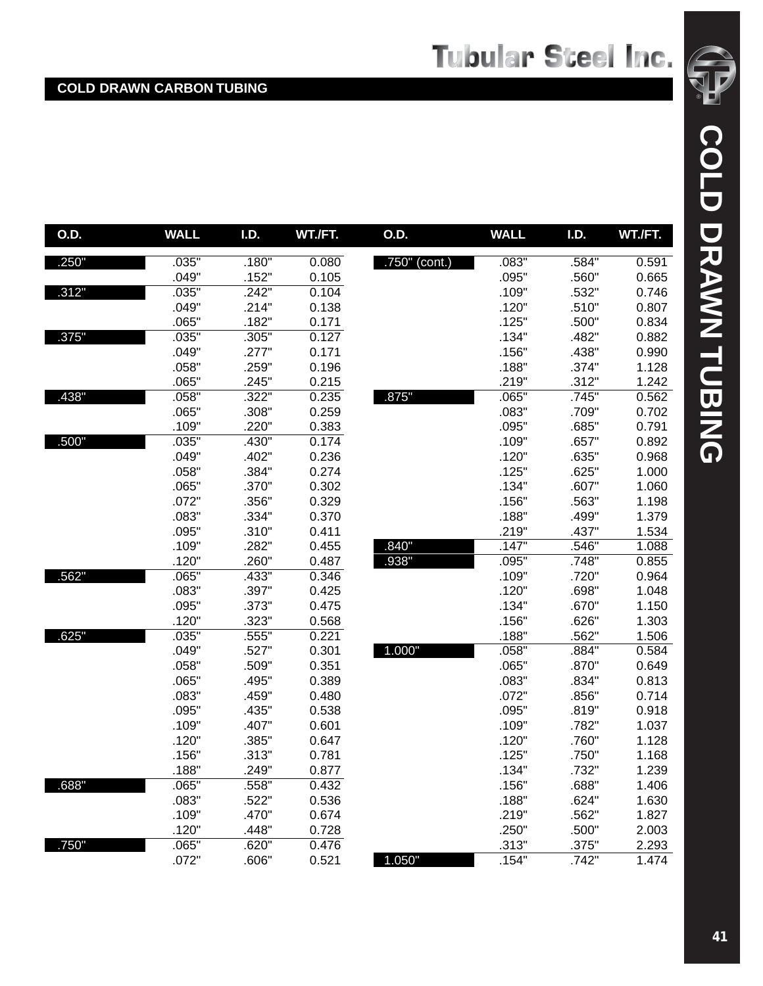| O.D.  | <b>WALL</b> | I.D.  | WT./FT. | <b>O.D.</b>   | <b>WALL</b> | I.D.  | WT./FT. |
|-------|-------------|-------|---------|---------------|-------------|-------|---------|
| .250" | .035"       | .180" | 0.080   | .750" (cont.) | .083"       | .584" | 0.591   |
|       | .049"       | .152" | 0.105   |               | .095"       | .560" | 0.665   |
| .312" | .035"       | .242" | 0.104   |               | .109"       | .532" | 0.746   |
|       | .049"       | .214" | 0.138   |               | .120"       | .510" | 0.807   |
|       | .065"       | .182" | 0.171   |               | .125"       | .500" | 0.834   |
| .375" | .035"       | .305" | 0.127   |               | .134"       | .482" | 0.882   |
|       | .049"       | .277" | 0.171   |               | .156"       | .438" | 0.990   |
|       | .058"       | .259" | 0.196   |               | .188"       | .374" | 1.128   |
|       | .065"       | .245" | 0.215   |               | .219"       | .312" | 1.242   |
| .438" | .058"       | .322" | 0.235   | .875"         | .065"       | .745" | 0.562   |
|       | .065"       | .308" | 0.259   |               | .083"       | .709" | 0.702   |
|       | .109"       | .220" | 0.383   |               | .095"       | .685" | 0.791   |
| .500" | .035"       | .430" | 0.174   |               | .109"       | .657" | 0.892   |
|       | .049"       | .402" | 0.236   |               | .120"       | .635" | 0.968   |
|       | .058"       | .384" | 0.274   |               | .125"       | .625" | 1.000   |
|       | .065"       | .370" | 0.302   |               | .134"       | .607" | 1.060   |
|       | .072"       | .356" | 0.329   |               | .156"       | .563" | 1.198   |
|       | .083"       | .334" | 0.370   |               | .188"       | .499" | 1.379   |
|       | .095"       | .310" | 0.411   |               | .219"       | .437" | 1.534   |
|       | .109"       | .282" | 0.455   | .840"         | .147"       | .546" | 1.088   |
|       | .120"       | .260" | 0.487   | .938"         | .095"       | .748" | 0.855   |
| .562" | .065"       | .433" | 0.346   |               | .109"       | .720" | 0.964   |
|       | .083"       | .397" | 0.425   |               | .120"       | .698" | 1.048   |
|       | .095"       | .373" | 0.475   |               | .134"       | .670" | 1.150   |
|       | .120"       | .323" | 0.568   |               | .156"       | .626" | 1.303   |
| .625" | .035"       | .555" | 0.221   |               | .188"       | .562" | 1.506   |
|       | .049"       | .527" | 0.301   | 1.000"        | .058"       | .884" | 0.584   |
|       | .058"       | .509" | 0.351   |               | .065"       | .870" | 0.649   |
|       | .065"       | .495" | 0.389   |               | .083"       | .834" | 0.813   |
|       | .083"       | .459" | 0.480   |               | .072"       | .856" | 0.714   |
|       | .095"       | .435" | 0.538   |               | .095"       | .819" | 0.918   |
|       | .109"       | .407" | 0.601   |               | .109"       | .782" | 1.037   |
|       | .120"       | .385" | 0.647   |               | .120"       | .760" | 1.128   |
|       | .156"       | .313" | 0.781   |               | .125"       | .750" | 1.168   |
|       | .188"       | .249" | 0.877   |               | .134"       | .732" | 1.239   |
| .688" | .065"       | .558" | 0.432   |               | .156"       | .688" | 1.406   |
|       | .083"       | .522" | 0.536   |               | .188"       | .624" | 1.630   |
|       | .109"       | .470" | 0.674   |               | .219"       | .562" | 1.827   |
|       | .120"       | .448" | 0.728   |               | .250"       | .500" | 2.003   |
| .750" | .065"       | .620" | 0.476   |               | .313"       | .375" | 2.293   |
|       | .072"       | .606" | 0.521   | 1.050"        | .154"       | .742" | 1.474   |

® COLD DRAWN TUBING **COLD DRAWN TUBING**

 $\sqrt{2}$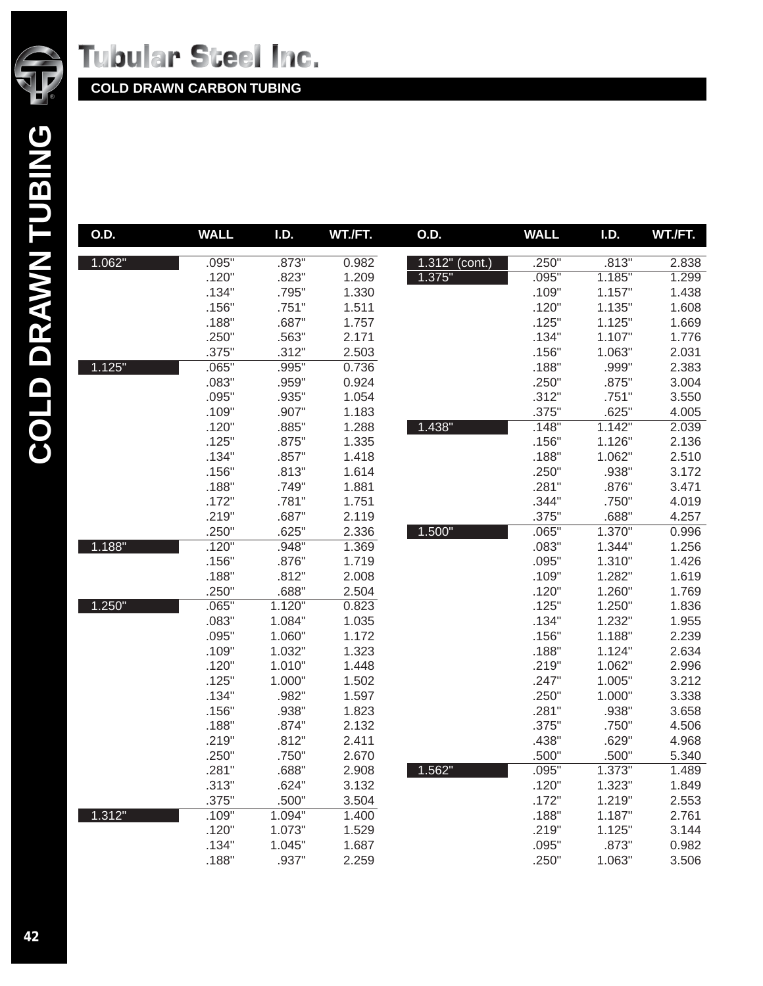

| O.D.   | <b>WALL</b> | I.D.   | WT./FT. | O.D.           | <b>WALL</b> | I.D.   | WT./FT. |
|--------|-------------|--------|---------|----------------|-------------|--------|---------|
|        |             |        |         |                |             |        |         |
| 1.062" | .095"       | .873"  | 0.982   | 1.312" (cont.) | .250"       | .813"  | 2.838   |
|        | .120"       | .823"  | 1.209   | 1.375"         | .095"       | 1.185" | 1.299   |
|        | .134"       | .795"  | 1.330   |                | .109"       | 1.157" | 1.438   |
|        | .156"       | .751"  | 1.511   |                | .120"       | 1.135" | 1.608   |
|        | .188"       | .687"  | 1.757   |                | .125"       | 1.125" | 1.669   |
|        | .250"       | .563"  | 2.171   |                | .134"       | 1.107" | 1.776   |
|        | .375"       | .312"  | 2.503   |                | .156"       | 1.063" | 2.031   |
| 1.125" | .065"       | .995"  | 0.736   |                | .188"       | .999"  | 2.383   |
|        | .083"       | .959"  | 0.924   |                | .250"       | .875"  | 3.004   |
|        | .095"       | .935"  | 1.054   |                | .312"       | .751"  | 3.550   |
|        | .109"       | .907"  | 1.183   |                | .375"       | .625"  | 4.005   |
|        | .120"       | .885"  | 1.288   | 1.438"         | .148"       | 1.142" | 2.039   |
|        | .125"       | .875"  | 1.335   |                | .156"       | 1.126" | 2.136   |
|        | .134"       | .857"  | 1.418   |                | .188"       | 1.062" | 2.510   |
|        | .156"       | .813"  | 1.614   |                | .250"       | .938"  | 3.172   |
|        | .188"       | .749"  | 1.881   |                | .281"       | .876"  | 3.471   |
|        | .172"       | .781"  | 1.751   |                | .344"       | .750"  | 4.019   |
|        | .219"       | .687"  | 2.119   |                | .375"       | .688"  | 4.257   |
|        | .250"       | .625"  | 2.336   | 1.500"         | .065"       | 1.370" | 0.996   |
| 1.188" | .120"       | .948"  | 1.369   |                | .083"       | 1.344" | 1.256   |
|        | .156"       | .876"  | 1.719   |                | .095"       | 1.310" | 1.426   |
|        | .188"       | .812"  | 2.008   |                | .109"       | 1.282" | 1.619   |
|        | .250"       | .688"  | 2.504   |                | .120"       | 1.260" | 1.769   |
| 1.250" | .065"       | 1.120" | 0.823   |                | .125"       | 1.250" | 1.836   |
|        | .083"       | 1.084" | 1.035   |                | .134"       | 1.232" | 1.955   |
|        | .095"       | 1.060" | 1.172   |                | .156"       | 1.188" | 2.239   |
|        | .109"       | 1.032" | 1.323   |                | .188"       | 1.124" | 2.634   |
|        | .120"       | 1.010" | 1.448   |                | .219"       | 1.062" | 2.996   |
|        | .125"       | 1.000" | 1.502   |                | .247"       | 1.005" | 3.212   |
|        | .134"       | .982"  | 1.597   |                | .250"       | 1.000" | 3.338   |
|        | .156"       | .938"  | 1.823   |                | .281"       | .938"  | 3.658   |
|        | .188"       | .874"  | 2.132   |                | .375"       | .750"  | 4.506   |
|        | .219"       | .812"  | 2.411   |                | .438"       | .629"  | 4.968   |
|        | .250"       | .750"  | 2.670   |                | .500"       | .500"  | 5.340   |
|        | .281"       | .688"  | 2.908   | 1.562"         | .095"       | 1.373" | 1.489   |
|        | .313"       | .624"  | 3.132   |                | .120"       | 1.323" | 1.849   |
|        | .375"       | .500"  | 3.504   |                | .172"       | 1.219" | 2.553   |
| 1.312" | .109"       | 1.094" | 1.400   |                | .188"       | 1.187" | 2.761   |
|        | .120"       | 1.073" | 1.529   |                | .219"       | 1.125" | 3.144   |
|        | .134"       | 1.045" | 1.687   |                | .095"       | .873"  | 0.982   |
|        | .188"       | .937"  | 2.259   |                | .250"       | 1.063" | 3.506   |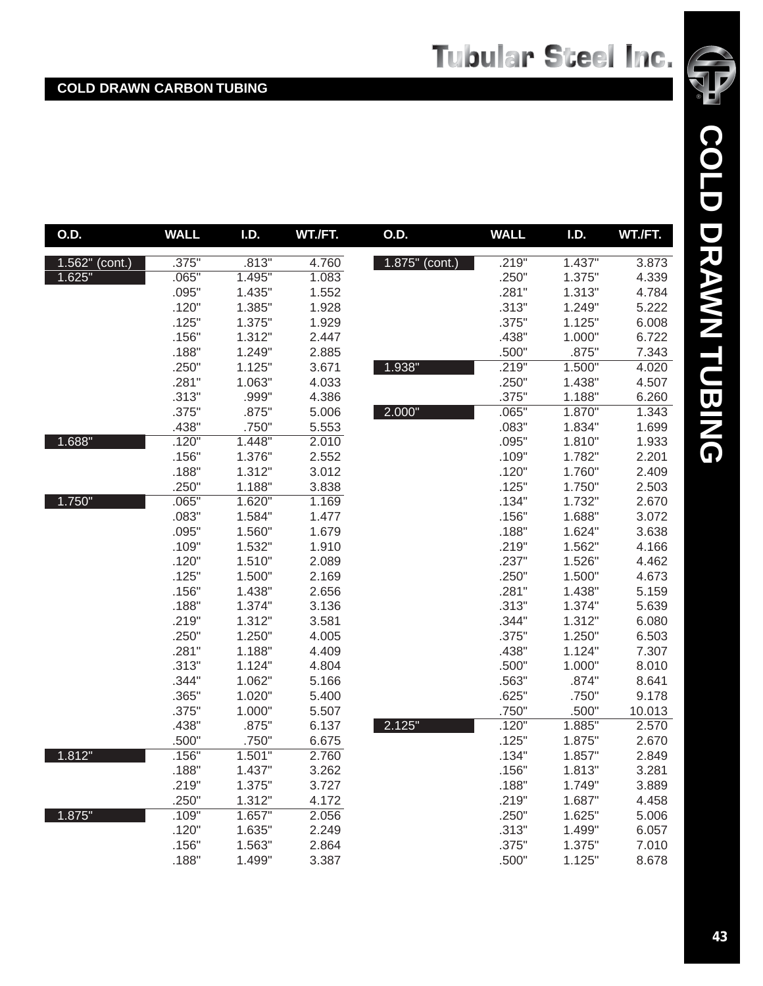| O.D.              | <b>WALL</b> | <b>I.D.</b> | WT./FT. | O.D.              | <b>WALL</b> | I.D.   | WT./FT. |
|-------------------|-------------|-------------|---------|-------------------|-------------|--------|---------|
| $1.562$ " (cont.) | .375"       | .813"       | 4.760   | $1.875$ " (cont.) | .219"       | 1.437" | 3.873   |
| 1.625"            | .065"       | 1.495"      | 1.083   |                   | .250"       | 1.375" | 4.339   |
|                   | .095"       | 1.435"      | 1.552   |                   | .281"       | 1.313" | 4.784   |
|                   | .120"       | 1.385"      | 1.928   |                   | .313"       | 1.249" | 5.222   |
|                   | .125"       | 1.375"      | 1.929   |                   | .375"       | 1.125" | 6.008   |
|                   | .156"       | 1.312"      | 2.447   |                   | .438"       | 1.000" | 6.722   |
|                   | .188"       | 1.249"      | 2.885   |                   | .500"       | .875"  | 7.343   |
|                   | .250"       | 1.125"      | 3.671   | 1.938"            | .219"       | 1.500" | 4.020   |
|                   | .281"       | 1.063"      | 4.033   |                   | .250"       | 1.438" | 4.507   |
|                   | .313"       | .999"       | 4.386   |                   | .375"       | 1.188" | 6.260   |
|                   | .375"       | .875"       | 5.006   | 2.000"            | .065"       | 1.870" | 1.343   |
|                   | .438"       | .750"       | 5.553   |                   | .083"       | 1.834" | 1.699   |
| 1.688"            | .120"       | 1.448"      | 2.010   |                   | .095"       | 1.810" | 1.933   |
|                   | .156"       | 1.376"      | 2.552   |                   | .109"       | 1.782" | 2.201   |
|                   | .188"       | 1.312"      | 3.012   |                   | .120"       | 1.760" | 2.409   |
|                   | .250"       | 1.188"      | 3.838   |                   | .125"       | 1.750" | 2.503   |
| 1.750"            | .065"       | 1.620"      | 1.169   |                   | .134"       | 1.732" | 2.670   |
|                   | .083"       | 1.584"      | 1.477   |                   | .156"       | 1.688" | 3.072   |
|                   | .095"       | 1.560"      | 1.679   |                   | .188"       | 1.624" | 3.638   |
|                   | .109"       | 1.532"      | 1.910   |                   | .219"       | 1.562" | 4.166   |
|                   | .120"       | 1.510"      | 2.089   |                   | .237"       | 1.526" | 4.462   |
|                   | .125"       | 1.500"      | 2.169   |                   | .250"       | 1.500" | 4.673   |
|                   | .156"       | 1.438"      | 2.656   |                   | .281"       | 1.438" | 5.159   |
|                   | .188"       | 1.374"      | 3.136   |                   | .313"       | 1.374" | 5.639   |
|                   | .219"       | 1.312"      | 3.581   |                   | .344"       | 1.312" | 6.080   |
|                   | .250"       | 1.250"      | 4.005   |                   | .375"       | 1.250" | 6.503   |
|                   | .281"       | 1.188"      | 4.409   |                   | .438"       | 1.124" | 7.307   |
|                   | .313"       | 1.124"      | 4.804   |                   | .500"       | 1.000" | 8.010   |
|                   | .344"       | 1.062"      | 5.166   |                   | .563"       | .874"  | 8.641   |
|                   | .365"       | 1.020"      | 5.400   |                   | .625"       | .750"  | 9.178   |
|                   | .375"       | 1.000"      | 5.507   |                   | .750"       | .500"  | 10.013  |
|                   | .438"       | .875"       | 6.137   | 2.125"            | .120"       | 1.885" | 2.570   |
|                   | .500"       | .750"       | 6.675   |                   | .125"       | 1.875" | 2.670   |
| 1.812"            | .156"       | 1.501"      | 2.760   |                   | .134"       | 1.857" | 2.849   |
|                   | .188"       | 1.437"      | 3.262   |                   | .156"       | 1.813" | 3.281   |
|                   | .219"       | 1.375"      | 3.727   |                   | .188"       | 1.749" | 3.889   |
|                   | .250"       | 1.312"      | 4.172   |                   | .219"       | 1.687" | 4.458   |
| 1.875"            | .109"       | 1.657"      | 2.056   |                   | .250"       | 1.625" | 5.006   |
|                   | .120"       | 1.635"      | 2.249   |                   | .313"       | 1.499" | 6.057   |
|                   | .156"       | 1.563"      | 2.864   |                   | .375"       | 1.375" | 7.010   |
|                   | .188"       | 1.499"      | 3.387   |                   | .500"       | 1.125" | 8.678   |

®

 $\sqrt{2}$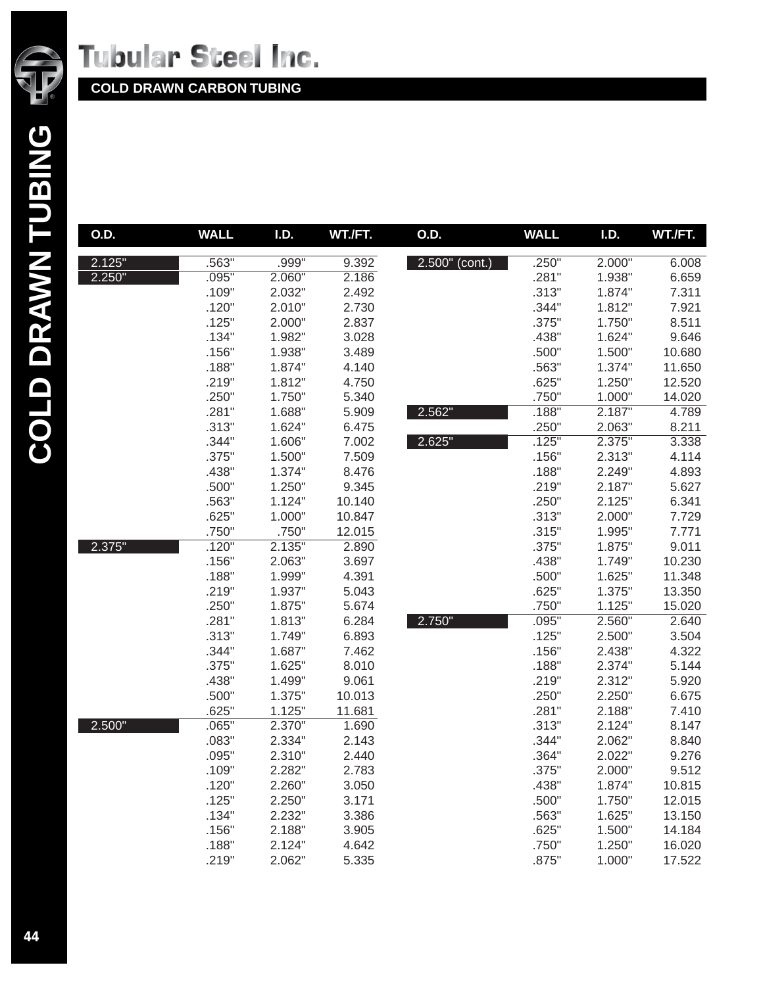

| O.D.   | <b>WALL</b> | I.D.   | WT./FT. | O.D.           | <b>WALL</b> | I.D.   | WT./FT. |
|--------|-------------|--------|---------|----------------|-------------|--------|---------|
| 2.125" | .563"       | .999"  | 9.392   | 2.500" (cont.) | .250"       | 2.000" | 6.008   |
| 2.250" | .095"       | 2.060" | 2.186   |                | .281"       | 1.938" | 6.659   |
|        | .109"       | 2.032" | 2.492   |                | .313"       | 1.874" | 7.311   |
|        | .120"       | 2.010" | 2.730   |                | .344"       | 1.812" | 7.921   |
|        | .125"       | 2.000" | 2.837   |                | .375"       | 1.750" | 8.511   |
|        | .134"       | 1.982" | 3.028   |                | .438"       | 1.624" | 9.646   |
|        | .156"       | 1.938" | 3.489   |                | .500"       | 1.500" | 10.680  |
|        | .188"       | 1.874" | 4.140   |                | .563"       | 1.374" | 11.650  |
|        | .219"       | 1.812" | 4.750   |                | .625"       | 1.250" | 12.520  |
|        | .250"       | 1.750" | 5.340   |                | .750"       | 1.000" | 14.020  |
|        | .281"       | 1.688" | 5.909   | 2.562"         | .188"       | 2.187" | 4.789   |
|        | .313"       | 1.624" | 6.475   |                | .250"       | 2.063" | 8.211   |
|        | .344"       | 1.606" | 7.002   | 2.625"         | .125"       | 2.375" | 3.338   |
|        | .375"       | 1.500" | 7.509   |                | .156"       | 2.313" | 4.114   |
|        | .438"       | 1.374" | 8.476   |                | .188"       | 2.249" | 4.893   |
|        | .500"       | 1.250" | 9.345   |                | .219"       | 2.187" | 5.627   |
|        | .563"       | 1.124" | 10.140  |                | .250"       | 2.125" | 6.341   |
|        | .625"       | 1.000" | 10.847  |                | .313"       | 2.000" | 7.729   |
|        | .750"       | .750"  | 12.015  |                | .315"       | 1.995" | 7.771   |
| 2.375" | .120"       | 2.135" | 2.890   |                | .375"       | 1.875" | 9.011   |
|        | .156"       | 2.063" | 3.697   |                | .438"       | 1.749" | 10.230  |
|        | .188"       | 1.999" | 4.391   |                | .500"       | 1.625" | 11.348  |
|        | .219"       | 1.937" | 5.043   |                | .625"       | 1.375" | 13.350  |
|        | .250"       | 1.875" | 5.674   |                | .750"       | 1.125" | 15.020  |
|        | .281"       | 1.813" | 6.284   | 2.750"         | .095"       | 2.560" | 2.640   |
|        | .313"       | 1.749" | 6.893   |                | .125"       | 2.500" | 3.504   |
|        | .344"       | 1.687" | 7.462   |                | .156"       | 2.438" | 4.322   |
|        | .375"       | 1.625" | 8.010   |                | .188"       | 2.374" | 5.144   |
|        | .438"       | 1.499" | 9.061   |                | .219"       | 2.312" | 5.920   |
|        | .500"       | 1.375" | 10.013  |                | .250"       | 2.250" | 6.675   |
|        | .625"       | 1.125" | 11.681  |                | .281"       | 2.188" | 7.410   |
| 2.500" | .065"       | 2.370" | 1.690   |                | .313"       | 2.124" | 8.147   |
|        | .083"       | 2.334" | 2.143   |                | .344"       | 2.062" | 8.840   |
|        | .095"       | 2.310" | 2.440   |                | .364"       | 2.022" | 9.276   |
|        | .109"       | 2.282" | 2.783   |                | .375"       | 2.000" | 9.512   |
|        | .120"       | 2.260" | 3.050   |                | .438"       | 1.874" | 10.815  |
|        | .125"       | 2.250" | 3.171   |                | .500"       | 1.750" | 12.015  |
|        | .134"       | 2.232" | 3.386   |                | .563"       | 1.625" | 13.150  |
|        | .156"       | 2.188" | 3.905   |                | .625"       | 1.500" | 14.184  |
|        | .188"       | 2.124" | 4.642   |                | .750"       | 1.250" | 16.020  |
|        | .219"       | 2.062" | 5.335   |                | .875"       | 1.000" | 17.522  |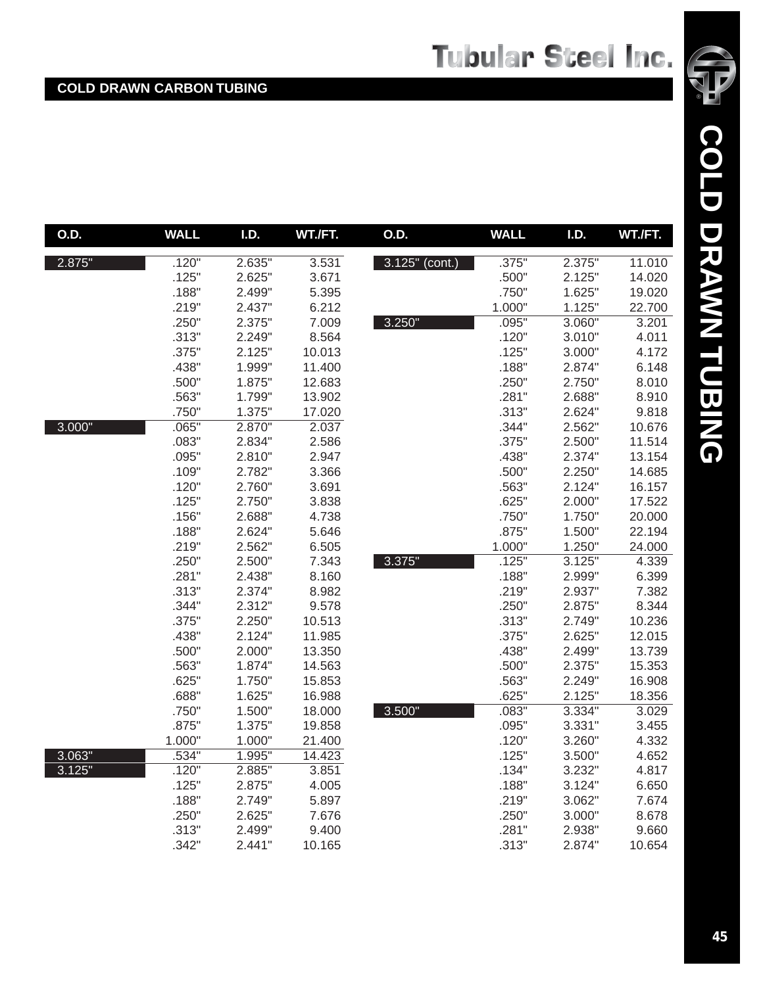| O.D.   | <b>WALL</b> | I.D.   | WT./FT. | O.D.           | <b>WALL</b> | <b>I.D.</b> | WT./FT. |
|--------|-------------|--------|---------|----------------|-------------|-------------|---------|
| 2.875" | .120"       | 2.635" | 3.531   | 3.125" (cont.) | .375"       | 2.375"      | 11.010  |
|        | .125"       | 2.625" | 3.671   |                | .500"       | 2.125"      | 14.020  |
|        | .188"       | 2.499" | 5.395   |                | .750"       | 1.625"      | 19.020  |
|        | .219"       | 2.437" | 6.212   |                | 1.000"      | 1.125"      | 22.700  |
|        | .250"       | 2.375" | 7.009   | 3.250"         | .095"       | 3.060"      | 3.201   |
|        | .313"       | 2.249" | 8.564   |                | .120"       | 3.010"      | 4.011   |
|        | .375"       | 2.125" | 10.013  |                | .125"       | 3.000"      | 4.172   |
|        | .438"       | 1.999" | 11.400  |                | .188"       | 2.874"      | 6.148   |
|        | .500"       | 1.875" | 12.683  |                | .250"       | 2.750"      | 8.010   |
|        | .563"       | 1.799" | 13.902  |                | .281"       | 2.688"      | 8.910   |
|        | .750"       | 1.375" | 17.020  |                | .313"       | 2.624"      | 9.818   |
| 3.000" | .065"       | 2.870" | 2.037   |                | .344"       | 2.562"      | 10.676  |
|        | .083"       | 2.834" | 2.586   |                | .375"       | 2.500"      | 11.514  |
|        | .095"       | 2.810" | 2.947   |                | .438"       | 2.374"      | 13.154  |
|        | .109"       | 2.782" | 3.366   |                | .500"       | 2.250"      | 14.685  |
|        | .120"       | 2.760" | 3.691   |                | .563"       | 2.124"      | 16.157  |
|        | .125"       | 2.750" | 3.838   |                | .625"       | 2.000"      | 17.522  |
|        | .156"       | 2.688" | 4.738   |                | .750"       | 1.750"      | 20.000  |
|        | .188"       | 2.624" | 5.646   |                | .875"       | 1.500"      | 22.194  |
|        | .219"       | 2.562" | 6.505   |                | 1.000"      | 1.250"      | 24.000  |
|        | .250"       | 2.500" | 7.343   | 3.375"         | .125"       | 3.125"      | 4.339   |
|        | .281"       | 2.438" | 8.160   |                | .188"       | 2.999"      | 6.399   |
|        | .313"       | 2.374" | 8.982   |                | .219"       | 2.937"      | 7.382   |
|        | .344"       | 2.312" | 9.578   |                | .250"       | 2.875"      | 8.344   |
|        | .375"       | 2.250" | 10.513  |                | .313"       | 2.749"      | 10.236  |
|        | .438"       | 2.124" | 11.985  |                | .375"       | 2.625"      | 12.015  |
|        | .500"       | 2.000" | 13.350  |                | .438"       | 2.499"      | 13.739  |
|        | .563"       | 1.874" | 14.563  |                | .500"       | 2.375"      | 15.353  |
|        | .625"       | 1.750" | 15.853  |                | .563"       | 2.249"      | 16.908  |
|        | .688"       | 1.625" | 16.988  |                | .625"       | 2.125"      | 18.356  |
|        | .750"       | 1.500" | 18.000  | 3.500"         | .083"       | 3.334"      | 3.029   |
|        | .875"       | 1.375" | 19.858  |                | .095"       | 3.331"      | 3.455   |
|        | 1.000"      | 1.000" | 21.400  |                | .120"       | 3.260"      | 4.332   |
| 3.063" | .534"       | 1.995" | 14.423  |                | .125"       | 3.500"      | 4.652   |
| 3.125" | .120"       | 2.885" | 3.851   |                | .134"       | 3.232"      | 4.817   |
|        | .125"       | 2.875" | 4.005   |                | .188"       | 3.124"      | 6.650   |
|        | .188"       | 2.749" | 5.897   |                | .219"       | 3.062"      | 7.674   |
|        | .250"       | 2.625" | 7.676   |                | .250"       | 3.000"      | 8.678   |
|        | .313"       | 2.499" | 9.400   |                | .281"       | 2.938"      | 9.660   |
|        | .342"       | 2.441" | 10.165  |                | .313"       | 2.874"      | 10.654  |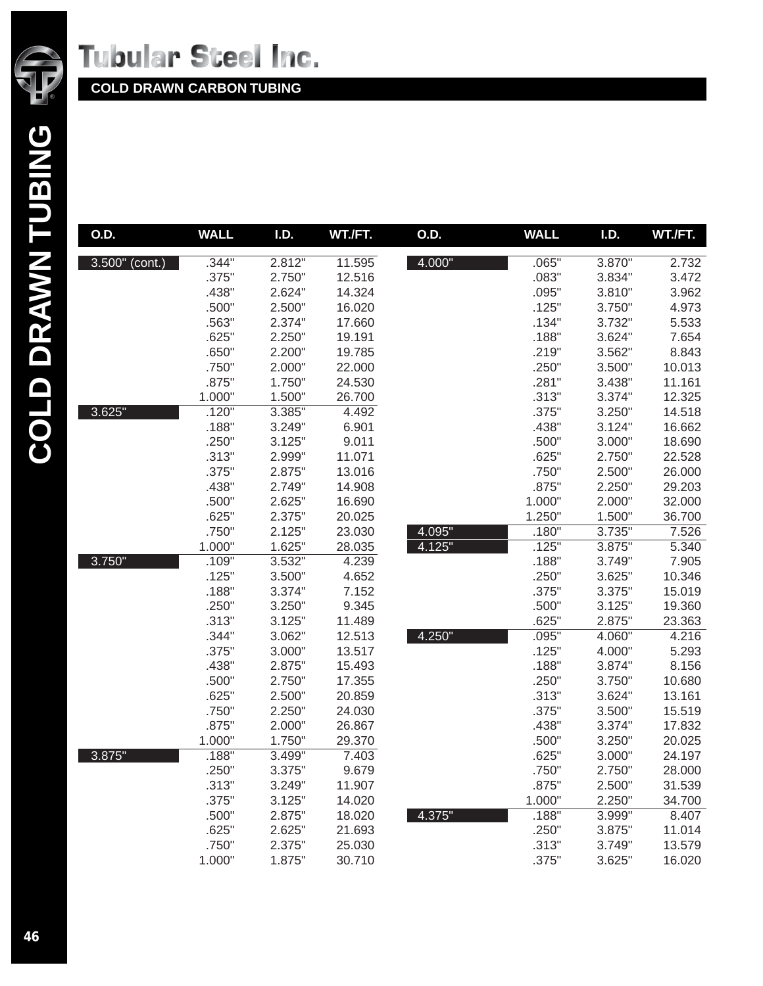

| O.D.           | <b>WALL</b> | I.D.   | WT./FT. | O.D.   | <b>WALL</b> | I.D.   | WT./FT. |
|----------------|-------------|--------|---------|--------|-------------|--------|---------|
| 3.500" (cont.) | .344"       | 2.812" | 11.595  | 4.000" | .065"       | 3.870" | 2.732   |
|                | .375"       | 2.750" | 12.516  |        | .083"       | 3.834" | 3.472   |
|                | .438"       | 2.624" | 14.324  |        | .095"       | 3.810" | 3.962   |
|                | .500"       | 2.500" | 16.020  |        | .125"       | 3.750" | 4.973   |
|                | .563"       | 2.374" | 17.660  |        | .134"       | 3.732" | 5.533   |
|                | .625"       | 2.250" | 19.191  |        | .188"       | 3.624" | 7.654   |
|                | .650"       | 2.200" | 19.785  |        | .219"       | 3.562" | 8.843   |
|                | .750"       | 2.000" | 22.000  |        | .250"       | 3.500" | 10.013  |
|                | .875"       | 1.750" | 24.530  |        | .281"       | 3.438" | 11.161  |
|                | 1.000"      | 1.500" | 26.700  |        | .313"       | 3.374" | 12.325  |
| 3.625"         | .120"       | 3.385" | 4.492   |        | .375"       | 3.250" | 14.518  |
|                | .188"       | 3.249" | 6.901   |        | .438"       | 3.124" | 16.662  |
|                | .250"       | 3.125" | 9.011   |        | .500"       | 3.000" | 18.690  |
|                | .313"       | 2.999" | 11.071  |        | .625"       | 2.750" | 22.528  |
|                | .375"       | 2.875" | 13.016  |        | .750"       | 2.500" | 26.000  |
|                | .438"       | 2.749" | 14.908  |        | .875"       | 2.250" | 29.203  |
|                | .500"       | 2.625" | 16.690  |        | 1.000"      | 2.000" | 32.000  |
|                | .625"       | 2.375" | 20.025  |        | 1.250"      | 1.500" | 36.700  |
|                | .750"       | 2.125" | 23.030  | 4.095" | .180"       | 3.735" | 7.526   |
|                | 1.000"      | 1.625" | 28.035  | 4.125" | .125"       | 3.875" | 5.340   |
| 3.750"         | .109"       | 3.532" | 4.239   |        | .188"       | 3.749" | 7.905   |
|                | .125"       | 3.500" | 4.652   |        | .250"       | 3.625" | 10.346  |
|                | .188"       | 3.374" | 7.152   |        | .375"       | 3.375" | 15.019  |
|                | .250"       | 3.250" | 9.345   |        | .500"       | 3.125" | 19.360  |
|                | .313"       | 3.125" | 11.489  |        | .625"       | 2.875" | 23.363  |
|                | .344"       | 3.062" | 12.513  | 4.250" | .095"       | 4.060" | 4.216   |
|                | .375"       | 3.000" | 13.517  |        | .125"       | 4.000" | 5.293   |
|                | .438"       | 2.875" | 15.493  |        | .188"       | 3.874" | 8.156   |
|                | .500"       | 2.750" | 17.355  |        | .250"       | 3.750" | 10.680  |
|                | .625"       | 2.500" | 20.859  |        | .313"       | 3.624" | 13.161  |
|                | .750"       | 2.250" | 24.030  |        | .375"       | 3.500" | 15.519  |
|                | .875"       | 2.000" | 26.867  |        | .438"       | 3.374" | 17.832  |
|                | 1.000"      | 1.750" | 29.370  |        | .500"       | 3.250" | 20.025  |
| 3.875"         | .188"       | 3.499" | 7.403   |        | .625"       | 3.000" | 24.197  |
|                | .250"       | 3.375" | 9.679   |        | .750"       | 2.750" | 28.000  |
|                | .313"       | 3.249" | 11.907  |        | .875"       | 2.500" | 31.539  |
|                | .375"       | 3.125" | 14.020  |        | 1.000"      | 2.250" | 34.700  |
|                | .500"       | 2.875" | 18.020  | 4.375" | .188"       | 3.999" | 8.407   |
|                | .625"       | 2.625" | 21.693  |        | .250"       | 3.875" | 11.014  |
|                | .750"       | 2.375" | 25.030  |        | .313"       | 3.749" | 13.579  |
|                | 1.000"      | 1.875" | 30.710  |        | .375"       | 3.625" | 16.020  |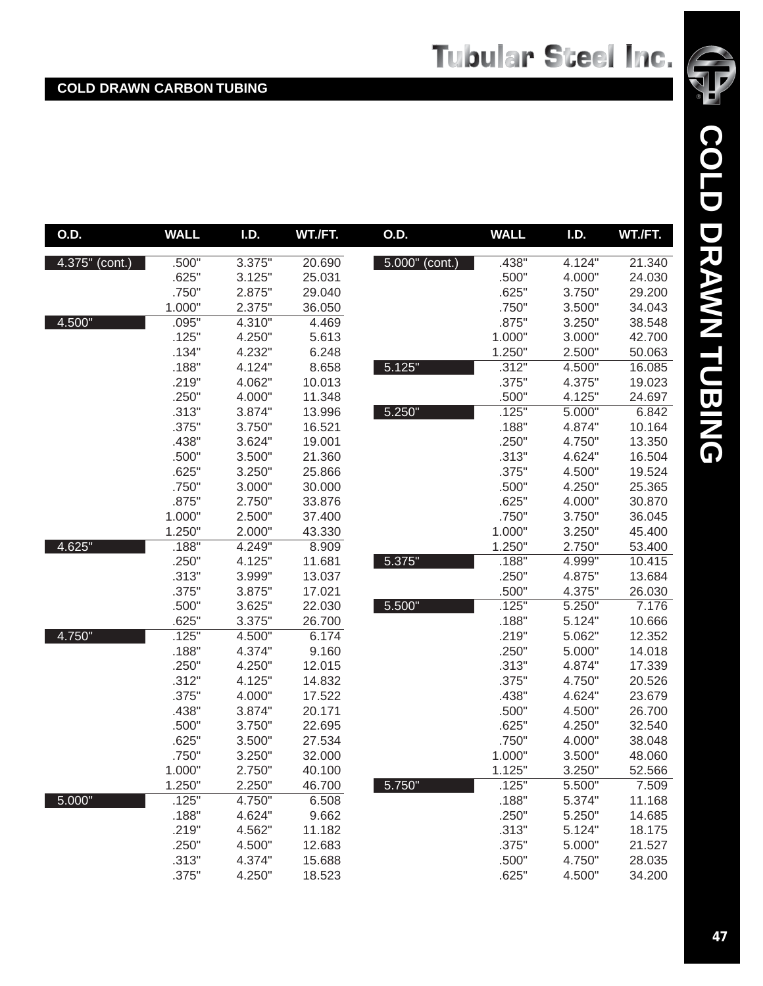| O.D.              | <b>WALL</b> | I.D.   | WT./FT. | O.D.              | <b>WALL</b> | I.D.   | WT./FT. |
|-------------------|-------------|--------|---------|-------------------|-------------|--------|---------|
| $4.375''$ (cont.) | .500"       | 3.375" | 20.690  | $5.000$ " (cont.) | .438"       | 4.124" | 21.340  |
|                   | .625"       | 3.125" | 25.031  |                   | .500"       | 4.000" | 24.030  |
|                   | .750"       | 2.875" | 29.040  |                   | .625"       | 3.750" | 29.200  |
|                   | 1.000"      | 2.375" | 36.050  |                   | .750"       | 3.500" | 34.043  |
| 4.500"            | .095"       | 4.310" | 4.469   |                   | .875"       | 3.250" | 38.548  |
|                   | .125"       | 4.250" | 5.613   |                   | 1.000"      | 3.000" | 42.700  |
|                   | .134"       | 4.232" | 6.248   |                   | 1.250"      | 2.500" | 50.063  |
|                   | .188"       | 4.124" | 8.658   | 5.125"            | .312"       | 4.500" | 16.085  |
|                   | .219"       | 4.062" | 10.013  |                   | .375"       | 4.375" | 19.023  |
|                   | .250"       | 4.000" | 11.348  |                   | .500"       | 4.125" | 24.697  |
|                   | .313"       | 3.874" | 13.996  | 5.250"            | .125"       | 5.000" | 6.842   |
|                   | .375"       | 3.750" | 16.521  |                   | .188"       | 4.874" | 10.164  |
|                   | .438"       | 3.624" | 19.001  |                   | .250"       | 4.750" | 13.350  |
|                   | .500"       | 3.500" | 21.360  |                   | .313"       | 4.624" | 16.504  |
|                   | .625"       | 3.250" | 25.866  |                   | .375"       | 4.500" | 19.524  |
|                   | .750"       | 3.000" | 30.000  |                   | .500"       | 4.250" | 25.365  |
|                   | .875"       | 2.750" | 33.876  |                   | .625"       | 4.000" | 30.870  |
|                   | 1.000"      | 2.500" | 37.400  |                   | .750"       | 3.750" | 36.045  |
|                   | 1.250"      | 2.000" | 43.330  |                   | 1.000"      | 3.250" | 45.400  |
| 4.625"            | .188"       | 4.249" | 8.909   |                   | 1.250"      | 2.750" | 53.400  |
|                   | .250"       | 4.125" | 11.681  | 5.375"            | .188"       | 4.999" | 10.415  |
|                   | .313"       | 3.999" | 13.037  |                   | .250"       | 4.875" | 13.684  |
|                   | .375"       | 3.875" | 17.021  |                   | .500"       | 4.375" | 26.030  |
|                   | .500"       | 3.625" | 22.030  | 5.500"            | .125"       | 5.250" | 7.176   |
|                   | .625"       | 3.375" | 26.700  |                   | .188"       | 5.124" | 10.666  |
| 4.750"            | .125"       | 4.500" | 6.174   |                   | .219"       | 5.062" | 12.352  |
|                   | .188"       | 4.374" | 9.160   |                   | .250"       | 5.000" | 14.018  |
|                   | .250"       | 4.250" | 12.015  |                   | .313"       | 4.874" | 17.339  |
|                   | .312"       | 4.125" | 14.832  |                   | .375"       | 4.750" | 20.526  |
|                   | .375"       | 4.000" | 17.522  |                   | .438"       | 4.624" | 23.679  |
|                   | .438"       | 3.874" | 20.171  |                   | .500"       | 4.500" | 26.700  |
|                   | .500"       | 3.750" | 22.695  |                   | .625"       | 4.250" | 32.540  |
|                   | .625"       | 3.500" | 27.534  |                   | .750"       | 4.000" | 38.048  |
|                   | .750"       | 3.250" | 32.000  |                   | 1.000"      | 3.500" | 48.060  |
|                   | 1.000"      | 2.750" | 40.100  |                   | 1.125"      | 3.250" | 52.566  |
|                   | 1.250"      | 2.250" | 46.700  | 5.750"            | .125"       | 5.500" | 7.509   |
| 5.000"            | .125"       | 4.750" | 6.508   |                   | .188"       | 5.374" | 11.168  |
|                   | .188"       | 4.624" | 9.662   |                   | .250"       | 5.250" | 14.685  |
|                   | .219"       | 4.562" | 11.182  |                   | .313"       | 5.124" | 18.175  |
|                   | .250"       | 4.500" | 12.683  |                   | .375"       | 5.000" | 21.527  |
|                   | .313"       | 4.374" | 15.688  |                   | .500"       | 4.750" | 28.035  |
|                   | .375"       | 4.250" | 18.523  |                   | .625"       | 4.500" | 34.200  |

**COLD DRAWN TUBING**

COLD DRAWN TUBING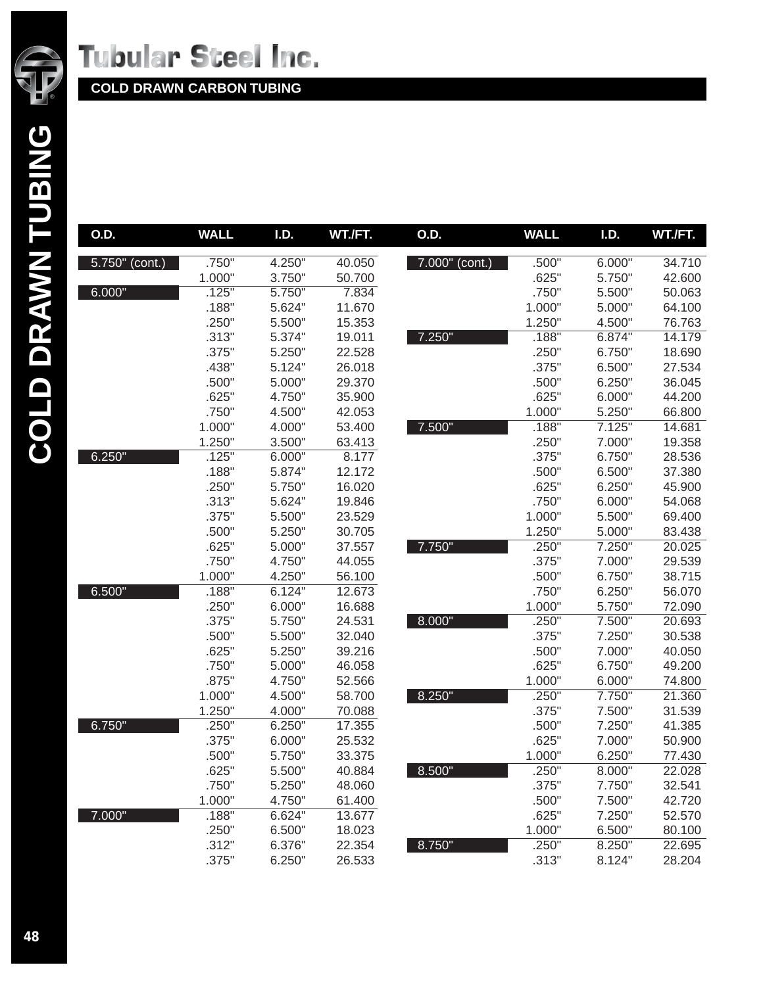

| O.D.              | <b>WALL</b> | I.D.   | WT./FT. | O.D.           | <b>WALL</b> | I.D.   | WT./FT. |
|-------------------|-------------|--------|---------|----------------|-------------|--------|---------|
| $5.750$ " (cont.) | .750"       | 4.250" | 40.050  | 7.000" (cont.) | .500"       | 6.000" | 34.710  |
|                   | 1.000"      | 3.750" | 50.700  |                | .625"       | 5.750" | 42.600  |
| 6.000"            | .125"       | 5.750" | 7.834   |                | .750"       | 5.500" | 50.063  |
|                   | .188"       | 5.624" | 11.670  |                | 1.000"      | 5.000" | 64.100  |
|                   | .250"       | 5.500" | 15.353  |                | 1.250"      | 4.500" | 76.763  |
|                   | .313"       | 5.374" | 19.011  | 7.250"         | .188"       | 6.874" | 14.179  |
|                   | .375"       | 5.250" | 22.528  |                | .250"       | 6.750" | 18.690  |
|                   | .438"       | 5.124" | 26.018  |                | .375"       | 6.500" | 27.534  |
|                   | .500"       | 5.000" | 29.370  |                | .500"       | 6.250" | 36.045  |
|                   | .625"       | 4.750" | 35.900  |                | .625"       | 6.000" | 44.200  |
|                   | .750"       | 4.500" | 42.053  |                | 1.000"      | 5.250" | 66.800  |
|                   | 1.000"      | 4.000" | 53.400  | 7.500"         | .188"       | 7.125" | 14.681  |
|                   | 1.250"      | 3.500" | 63.413  |                | .250"       | 7.000" | 19.358  |
| 6.250"            | .125"       | 6.000" | 8.177   |                | .375"       | 6.750" | 28.536  |
|                   | .188"       | 5.874" | 12.172  |                | .500"       | 6.500" | 37.380  |
|                   | .250"       | 5.750" | 16.020  |                | .625"       | 6.250" | 45.900  |
|                   | .313"       | 5.624" | 19.846  |                | .750"       | 6.000" | 54.068  |
|                   | .375"       | 5.500" | 23.529  |                | 1.000"      | 5.500" | 69.400  |
|                   | .500"       | 5.250" | 30.705  |                | 1.250"      | 5.000" | 83.438  |
|                   | .625"       | 5.000" | 37.557  | 7.750"         | .250"       | 7.250" | 20.025  |
|                   | .750"       | 4.750" | 44.055  |                | .375"       | 7.000" | 29.539  |
|                   | 1.000"      | 4.250" | 56.100  |                | .500"       | 6.750" | 38.715  |
| 6.500"            | .188"       | 6.124" | 12.673  |                | .750"       | 6.250" | 56.070  |
|                   | .250"       | 6.000" | 16.688  |                | 1.000"      | 5.750" | 72.090  |
|                   | .375"       | 5.750" | 24.531  | 8.000"         | .250"       | 7.500" | 20.693  |
|                   | .500"       | 5.500" | 32.040  |                | .375"       | 7.250" | 30.538  |
|                   | .625"       | 5.250" | 39.216  |                | .500"       | 7.000" | 40.050  |
|                   | .750"       | 5.000" | 46.058  |                | .625"       | 6.750" | 49.200  |
|                   | .875"       | 4.750" | 52.566  |                | 1.000"      | 6.000" | 74.800  |
|                   | 1.000"      | 4.500" | 58.700  | 8.250"         | .250"       | 7.750" | 21.360  |
|                   | 1.250"      | 4.000" | 70.088  |                | .375"       | 7.500" | 31.539  |
| 6.750"            | .250"       | 6.250" | 17.355  |                | .500"       | 7.250" | 41.385  |
|                   | .375"       | 6.000" | 25.532  |                | .625"       | 7.000" | 50.900  |
|                   | .500"       | 5.750" | 33.375  |                | 1.000"      | 6.250" | 77.430  |
|                   | .625"       | 5.500" | 40.884  | 8.500"         | .250"       | 8.000" | 22.028  |
|                   | .750"       | 5.250" | 48.060  |                | .375"       | 7.750" | 32.541  |
|                   | 1.000"      | 4.750" | 61.400  |                | .500"       | 7.500" | 42.720  |
| 7.000"            | .188"       | 6.624" | 13.677  |                | .625"       | 7.250" | 52.570  |
|                   | .250"       | 6.500" | 18.023  |                | 1.000"      | 6.500" | 80.100  |
|                   | .312"       | 6.376" | 22.354  | 8.750"         | .250"       | 8.250" | 22.695  |
|                   | .375"       | 6.250" | 26.533  |                | .313"       | 8.124" | 28.204  |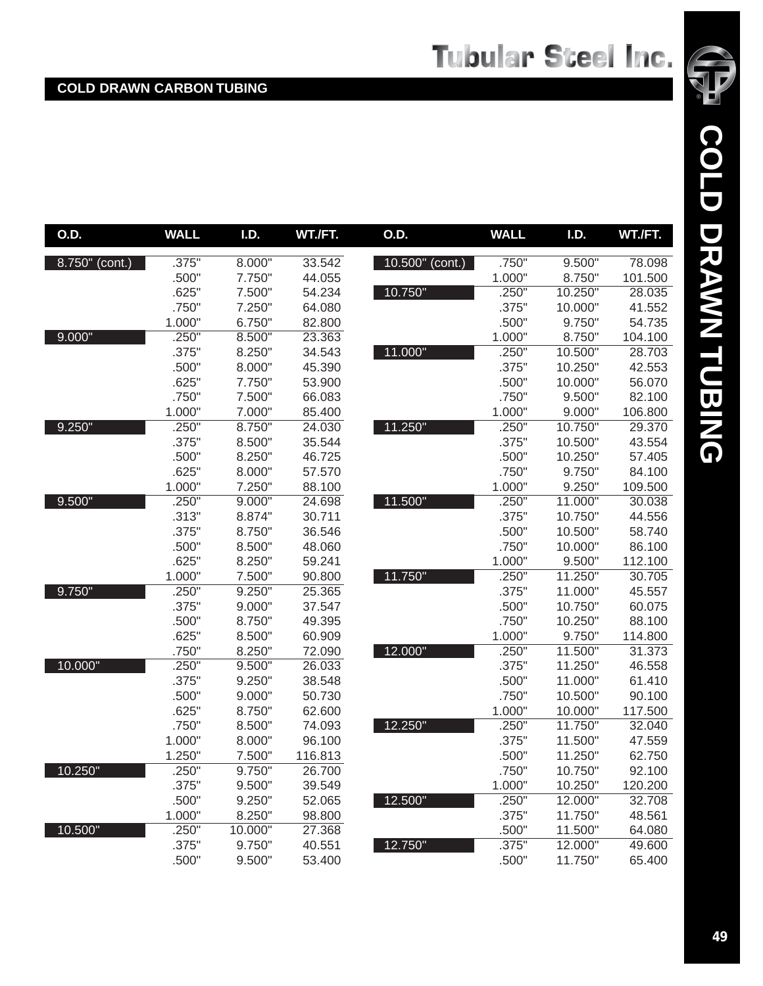| O.D.           | <b>WALL</b> | I.D.    | WT./FT. | O.D.            | <b>WALL</b> | I.D.    | WT./FT. |
|----------------|-------------|---------|---------|-----------------|-------------|---------|---------|
| 8.750" (cont.) | .375"       | 8.000"  | 33.542  | 10.500" (cont.) | .750"       | 9.500"  | 78.098  |
|                | .500"       | 7.750"  | 44.055  |                 | 1.000"      | 8.750"  | 101.500 |
|                | .625"       | 7.500"  | 54.234  | 10.750"         | .250"       | 10.250" | 28.035  |
|                | .750"       | 7.250"  | 64.080  |                 | .375"       | 10.000" | 41.552  |
|                | 1.000"      | 6.750"  | 82.800  |                 | .500"       | 9.750"  | 54.735  |
| 9.000"         | .250"       | 8.500"  | 23.363  |                 | 1.000"      | 8.750"  | 104.100 |
|                | .375"       | 8.250"  | 34.543  | 11.000"         | .250"       | 10.500" | 28.703  |
|                | .500"       | 8.000"  | 45.390  |                 | .375"       | 10.250" | 42.553  |
|                | .625"       | 7.750"  | 53.900  |                 | .500"       | 10.000" | 56.070  |
|                | .750"       | 7.500"  | 66.083  |                 | .750"       | 9.500"  | 82.100  |
|                | 1.000"      | 7.000"  | 85.400  |                 | 1.000"      | 9.000"  | 106.800 |
| 9.250"         | .250"       | 8.750"  | 24.030  | 11.250"         | .250"       | 10.750" | 29.370  |
|                | .375"       | 8.500"  | 35.544  |                 | .375"       | 10.500" | 43.554  |
|                | .500"       | 8.250"  | 46.725  |                 | .500"       | 10.250" | 57.405  |
|                | .625"       | 8.000"  | 57.570  |                 | .750"       | 9.750"  | 84.100  |
|                | 1.000"      | 7.250"  | 88.100  |                 | 1.000"      | 9.250"  | 109.500 |
| 9.500"         | .250"       | 9.000"  | 24.698  | 11.500"         | .250"       | 11.000" | 30.038  |
|                | .313"       | 8.874"  | 30.711  |                 | .375"       | 10.750" | 44.556  |
|                | .375"       | 8.750"  | 36.546  |                 | .500"       | 10.500" | 58.740  |
|                | .500"       | 8.500"  | 48.060  |                 | .750"       | 10.000" | 86.100  |
|                | .625"       | 8.250"  | 59.241  |                 | 1.000"      | 9.500"  | 112.100 |
|                | 1.000"      | 7.500"  | 90.800  | 11.750"         | .250"       | 11.250" | 30.705  |
| 9.750"         | .250"       | 9.250"  | 25.365  |                 | .375"       | 11.000" | 45.557  |
|                | .375"       | 9.000"  | 37.547  |                 | .500"       | 10.750" | 60.075  |
|                | .500"       | 8.750"  | 49.395  |                 | .750"       | 10.250" | 88.100  |
|                | .625"       | 8.500"  | 60.909  |                 | 1.000"      | 9.750"  | 114.800 |
|                | .750"       | 8.250"  | 72.090  | 12.000"         | .250"       | 11.500" | 31.373  |
| 10.000"        | .250"       | 9.500"  | 26.033  |                 | .375"       | 11.250" | 46.558  |
|                | .375"       | 9.250"  | 38.548  |                 | .500"       | 11.000" | 61.410  |
|                | .500"       | 9.000"  | 50.730  |                 | .750"       | 10.500" | 90.100  |
|                | .625"       | 8.750"  | 62.600  |                 | 1.000"      | 10.000" | 117.500 |
|                | .750"       | 8.500"  | 74.093  | 12.250"         | .250"       | 11.750" | 32.040  |
|                | 1.000"      | 8.000"  | 96.100  |                 | .375"       | 11.500" | 47.559  |
|                | 1.250"      | 7.500"  | 116.813 |                 | .500"       | 11.250" | 62.750  |
| 10.250"        | .250"       | 9.750"  | 26.700  |                 | .750"       | 10.750" | 92.100  |
|                | .375"       | 9.500"  | 39.549  |                 | 1.000"      | 10.250" | 120.200 |
|                | .500"       | 9.250"  | 52.065  | 12.500"         | .250"       | 12.000" | 32.708  |
|                | 1.000"      | 8.250"  | 98.800  |                 | .375"       | 11.750" | 48.561  |
| 10.500"        | .250"       | 10.000" | 27.368  |                 | .500"       | 11.500" | 64.080  |
|                | .375"       | 9.750"  | 40.551  | 12.750"         | .375"       | 12.000" | 49.600  |
|                | .500"       | 9.500"  | 53.400  |                 | .500"       | 11.750" | 65.400  |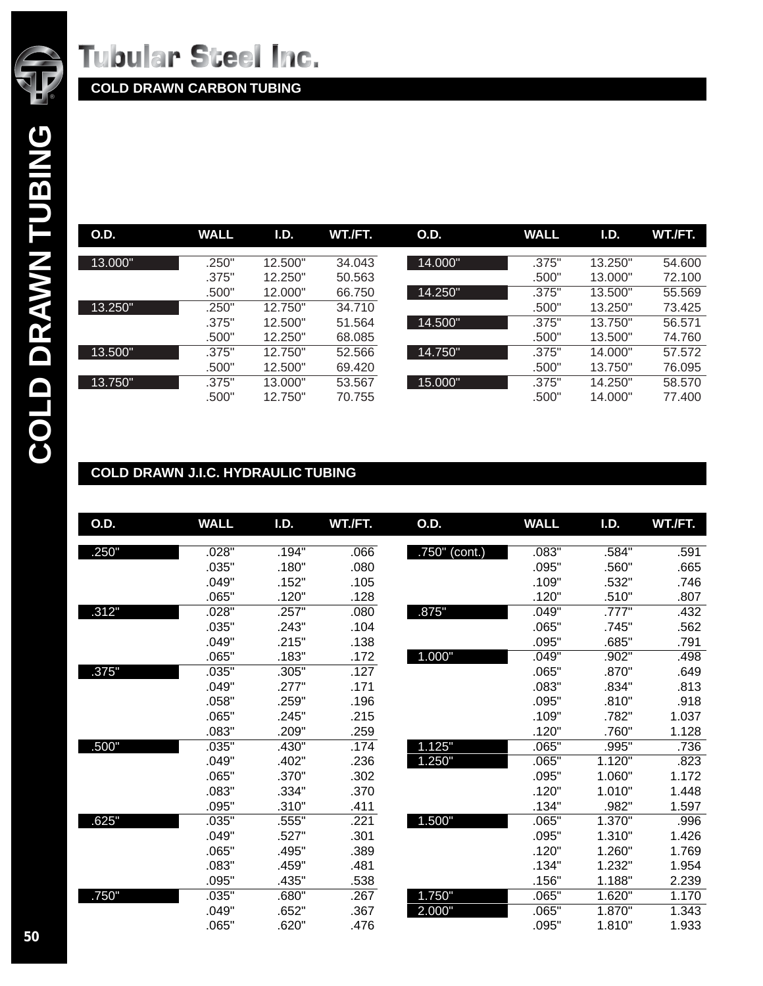

**COLD DRAWN CARBON TUBING**

| <b>O.D.</b> | <b>WALL</b> | I.D.    | WT./FT. | <b>O.D.</b> | <b>WALL</b> | I.D.    | WT./FT. |
|-------------|-------------|---------|---------|-------------|-------------|---------|---------|
|             |             |         |         |             |             |         |         |
| 13.000"     | .250"       | 12.500" | 34.043  | 14.000"     | .375"       | 13.250" | 54.600  |
|             | .375"       | 12.250" | 50.563  |             | .500"       | 13.000" | 72.100  |
|             | .500"       | 12.000" | 66.750  | 14.250"     | .375"       | 13.500" | 55.569  |
| 13.250"     | .250"       | 12.750" | 34.710  |             | .500"       | 13.250" | 73.425  |
|             | .375"       | 12.500" | 51.564  | 14.500"     | .375"       | 13.750" | 56.571  |
|             | .500"       | 12.250" | 68.085  |             | .500"       | 13.500" | 74.760  |
| 13.500"     | .375"       | 12.750" | 52.566  | 14.750"     | .375"       | 14.000" | 57.572  |
|             | .500"       | 12.500" | 69.420  |             | .500"       | 13.750" | 76.095  |
| 13.750"     | .375"       | 13.000" | 53.567  | 15.000"     | .375"       | 14.250" | 58,570  |
|             | .500"       | 12.750" | 70.755  |             | .500"       | 14.000" | 77.400  |

### **COLD DRAWN J.I.C. HYDRAULIC TUBING**

| O.D.  | <b>WALL</b> | I.D.  | WT./FT. | <b>O.D.</b>      | <b>WALL</b> | I.D.   | WT./FT. |
|-------|-------------|-------|---------|------------------|-------------|--------|---------|
| .250" | .028"       | .194" | .066    | $.750$ " (cont.) | .083"       | .584"  | .591    |
|       | .035"       | .180" | .080    |                  | .095"       | .560"  | .665    |
|       | .049"       | .152" | .105    |                  | .109"       | .532"  | .746    |
|       | .065"       | .120" | .128    |                  | .120"       | .510"  | .807    |
| .312" | .028"       | .257" | .080    | .875"            | .049"       | .777"  | .432    |
|       | .035"       | .243" | .104    |                  | .065"       | .745"  | .562    |
|       | .049"       | .215" | .138    |                  | .095"       | .685"  | .791    |
|       | .065"       | .183" | .172    | 1.000"           | .049"       | .902"  | .498    |
| .375" | .035"       | .305" | .127    |                  | .065"       | .870"  | .649    |
|       | .049"       | .277" | .171    |                  | .083"       | .834"  | .813    |
|       | .058"       | .259" | .196    |                  | .095"       | .810"  | .918    |
|       | .065"       | .245" | .215    |                  | .109"       | .782"  | 1.037   |
|       | .083"       | .209" | .259    |                  | .120"       | .760"  | 1.128   |
| .500" | .035"       | .430" | .174    | 1.125"           | .065"       | .995"  | .736    |
|       | .049"       | .402" | .236    | 1.250"           | .065"       | 1.120" | .823    |
|       | .065"       | .370" | .302    |                  | .095"       | 1.060" | 1.172   |
|       | .083"       | .334" | .370    |                  | .120"       | 1.010" | 1.448   |
|       | .095"       | .310" | .411    |                  | .134"       | .982"  | 1.597   |
| .625" | .035"       | .555" | .221    | 1.500"           | .065"       | 1.370" | .996    |
|       | .049"       | .527" | .301    |                  | .095"       | 1.310" | 1.426   |
|       | .065"       | .495" | .389    |                  | .120"       | 1.260" | 1.769   |
|       | .083"       | .459" | .481    |                  | .134"       | 1.232" | 1.954   |
|       | .095"       | .435" | .538    |                  | .156"       | 1.188" | 2.239   |
| .750" | .035"       | .680" | .267    | 1.750"           | .065"       | 1.620" | 1.170   |
|       | .049"       | .652" | .367    | 2.000"           | .065"       | 1.870" | 1.343   |
|       | .065"       | .620" | .476    |                  | .095"       | 1.810" | 1.933   |